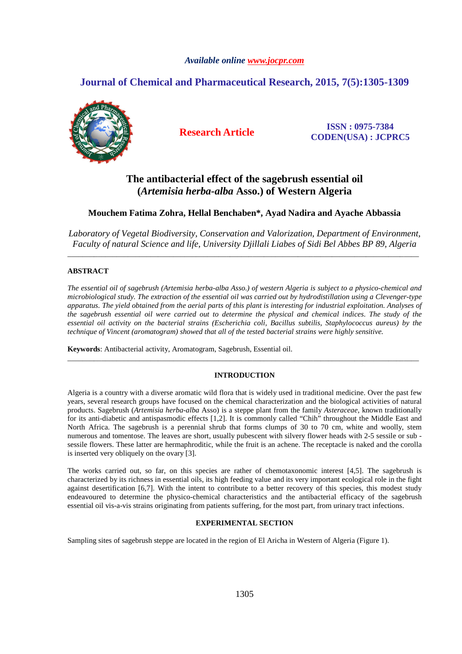## *Available online www.jocpr.com*

# **Journal of Chemical and Pharmaceutical Research, 2015, 7(5):1305-1309**



**Research Article ISSN : 0975-7384 CODEN(USA) : JCPRC5**

# **The antibacterial effect of the sagebrush essential oil (***Artemisia herba-alba* **Asso.) of Western Algeria**

## **Mouchem Fatima Zohra, Hellal Benchaben\*, Ayad Nadira and Ayache Abbassia**

*Laboratory of Vegetal Biodiversity, Conservation and Valorization, Department of Environment, Faculty of natural Science and life, University Djillali Liabes of Sidi Bel Abbes BP 89, Algeria*  \_\_\_\_\_\_\_\_\_\_\_\_\_\_\_\_\_\_\_\_\_\_\_\_\_\_\_\_\_\_\_\_\_\_\_\_\_\_\_\_\_\_\_\_\_\_\_\_\_\_\_\_\_\_\_\_\_\_\_\_\_\_\_\_\_\_\_\_\_\_\_\_\_\_\_\_\_\_\_\_\_\_\_\_\_\_\_\_\_\_\_\_\_

## **ABSTRACT**

*The essential oil of sagebrush (Artemisia herba-alba Asso.) of western Algeria is subject to a physico-chemical and microbiological study. The extraction of the essential oil was carried out by hydrodistillation using a Clevenger-type apparatus. The yield obtained from the aerial parts of this plant is interesting for industrial exploitation. Analyses of the sagebrush essential oil were carried out to determine the physical and chemical indices. The study of the essential oil activity on the bacterial strains (Escherichia coli, Bacillus subtilis, Staphylococcus aureus) by the technique of Vincent (aromatogram) showed that all of the tested bacterial strains were highly sensitive.* 

**Keywords**: Antibacterial activity, Aromatogram, Sagebrush, Essential oil.

## **INTRODUCTION**

\_\_\_\_\_\_\_\_\_\_\_\_\_\_\_\_\_\_\_\_\_\_\_\_\_\_\_\_\_\_\_\_\_\_\_\_\_\_\_\_\_\_\_\_\_\_\_\_\_\_\_\_\_\_\_\_\_\_\_\_\_\_\_\_\_\_\_\_\_\_\_\_\_\_\_\_\_\_\_\_\_\_\_\_\_\_\_\_\_\_\_\_\_

Algeria is a country with a diverse aromatic wild flora that is widely used in traditional medicine. Over the past few years, several research groups have focused on the chemical characterization and the biological activities of natural products. Sagebrush (*Artemisia herba-alba* Asso) is a steppe plant from the family *Asteraceae*, known traditionally for its anti-diabetic and antispasmodic effects [1,2]. It is commonly called "Chih" throughout the Middle East and North Africa. The sagebrush is a perennial shrub that forms clumps of 30 to 70 cm, white and woolly, stem numerous and tomentose. The leaves are short, usually pubescent with silvery flower heads with 2-5 sessile or sub sessile flowers. These latter are hermaphroditic, while the fruit is an achene. The receptacle is naked and the corolla is inserted very obliquely on the ovary [3].

The works carried out, so far, on this species are rather of chemotaxonomic interest [4,5]. The sagebrush is characterized by its richness in essential oils, its high feeding value and its very important ecological role in the fight against desertification [6,7]. With the intent to contribute to a better recovery of this species, this modest study endeavoured to determine the physico-chemical characteristics and the antibacterial efficacy of the sagebrush essential oil vis-a-vis strains originating from patients suffering, for the most part, from urinary tract infections.

#### **EXPERIMENTAL SECTION**

Sampling sites of sagebrush steppe are located in the region of El Aricha in Western of Algeria (Figure 1).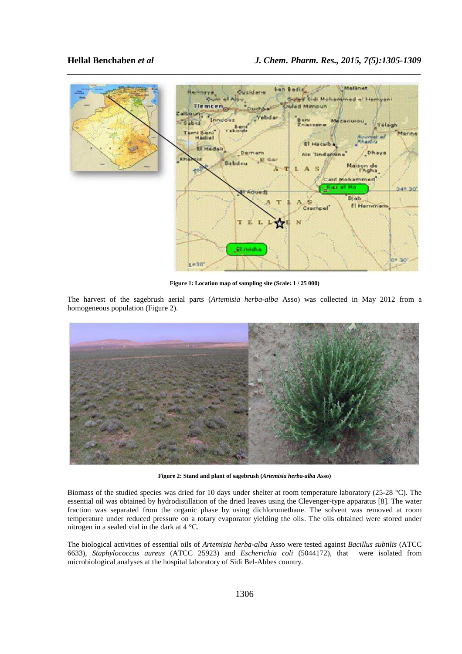

**Figure 1: Location map of sampling site (Scale: 1 / 25 000)** 

The harvest of the sagebrush aerial parts (*Artemisia herba-alba* Asso) was collected in May 2012 from a homogeneous population (Figure 2).



**Figure 2: Stand and plant of sagebrush (***Artemisia herba-alba* **Asso)** 

Biomass of the studied species was dried for 10 days under shelter at room temperature laboratory (25-28 °C). The essential oil was obtained by hydrodistillation of the dried leaves using the Clevenger-type apparatus [8]. The water fraction was separated from the organic phase by using dichloromethane. The solvent was removed at room temperature under reduced pressure on a rotary evaporator yielding the oils. The oils obtained were stored under nitrogen in a sealed vial in the dark at 4 °C.

The biological activities of essential oils of *Artemisia herba-alba* Asso were tested against *Bacillus subtilis* (ATCC 6633), *Staphylococcus aureus* (ATCC 25923) and *Escherichia coli* (5044172), that were isolated from microbiological analyses at the hospital laboratory of Sidi Bel-Abbes country.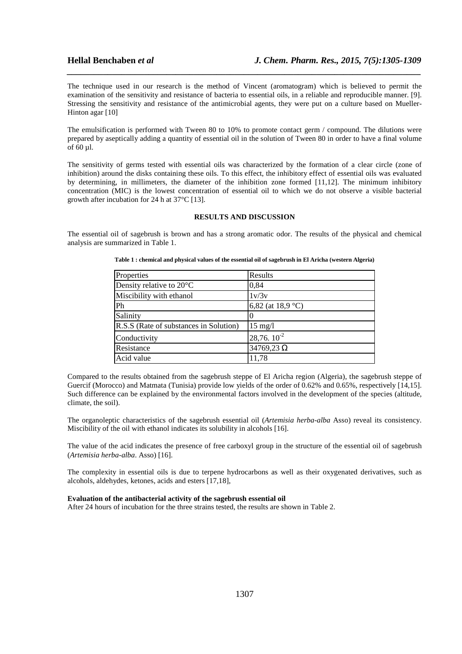The technique used in our research is the method of Vincent (aromatogram) which is believed to permit the examination of the sensitivity and resistance of bacteria to essential oils, in a reliable and reproducible manner. [9]. Stressing the sensitivity and resistance of the antimicrobial agents, they were put on a culture based on Mueller-Hinton agar [10]

*\_\_\_\_\_\_\_\_\_\_\_\_\_\_\_\_\_\_\_\_\_\_\_\_\_\_\_\_\_\_\_\_\_\_\_\_\_\_\_\_\_\_\_\_\_\_\_\_\_\_\_\_\_\_\_\_\_\_\_\_\_\_\_\_\_\_\_\_\_\_\_\_\_\_\_\_\_\_*

The emulsification is performed with Tween 80 to 10% to promote contact germ / compound. The dilutions were prepared by aseptically adding a quantity of essential oil in the solution of Tween 80 in order to have a final volume of 60 µl.

The sensitivity of germs tested with essential oils was characterized by the formation of a clear circle (zone of inhibition) around the disks containing these oils. To this effect, the inhibitory effect of essential oils was evaluated by determining, in millimeters, the diameter of the inhibition zone formed [11,12]. The minimum inhibitory concentration (MIC) is the lowest concentration of essential oil to which we do not observe a visible bacterial growth after incubation for 24 h at 37°C [13].

#### **RESULTS AND DISCUSSION**

The essential oil of sagebrush is brown and has a strong aromatic odor. The results of the physical and chemical analysis are summarized in Table 1.

| Properties                             | Results                     |
|----------------------------------------|-----------------------------|
| Density relative to 20°C               | 0,84                        |
| Miscibility with ethanol               | 1v/3v                       |
| Ph                                     | 6,82 (at 18,9 $^{\circ}$ C) |
| Salinity                               |                             |
| R.S.S (Rate of substances in Solution) | $15 \text{ mg/l}$           |
| Conductivity                           | $28,76.10^{2}$              |
| Resistance                             | $34769,23 \Omega$           |
| Acid value                             | 11,78                       |

**Table 1 : chemical and physical values of the essential oil of sagebrush in El Aricha (western Algeria)** 

Compared to the results obtained from the sagebrush steppe of El Aricha region (Algeria), the sagebrush steppe of Guercif (Morocco) and Matmata (Tunisia) provide low yields of the order of 0.62% and 0.65%, respectively [14,15]. Such difference can be explained by the environmental factors involved in the development of the species (altitude, climate, the soil).

The organoleptic characteristics of the sagebrush essential oil (*Artemisia herba-alba* Asso) reveal its consistency. Miscibility of the oil with ethanol indicates its solubility in alcohols [16].

The value of the acid indicates the presence of free carboxyl group in the structure of the essential oil of sagebrush (*Artemisia herba-alba*. Asso) [16].

The complexity in essential oils is due to terpene hydrocarbons as well as their oxygenated derivatives, such as alcohols, aldehydes, ketones, acids and esters [17,18],

#### **Evaluation of the antibacterial activity of the sagebrush essential oil**

After 24 hours of incubation for the three strains tested, the results are shown in Table 2.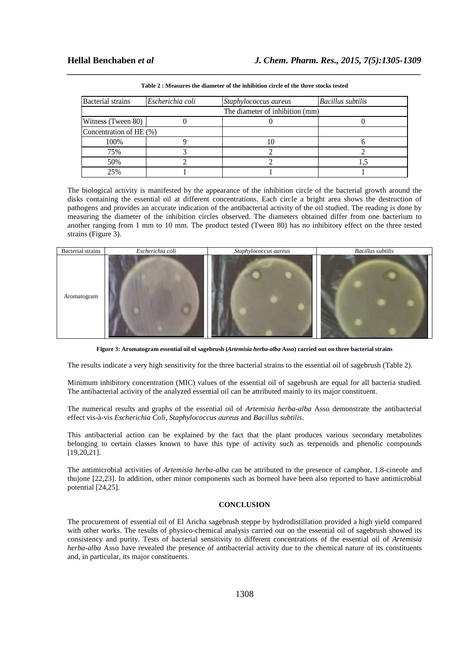| <b>Bacterial</b> strains        | Escherichia coli | Staphylococcus aureus | <b>Bacillus</b> subtilis |  |
|---------------------------------|------------------|-----------------------|--------------------------|--|
| The diameter of inhibition (mm) |                  |                       |                          |  |
| Witness (Tween 80)              |                  |                       |                          |  |
| Concentration of HE (%)         |                  |                       |                          |  |
| 100%                            |                  |                       |                          |  |
| 75%                             |                  |                       |                          |  |
| 50%                             |                  |                       |                          |  |
| 25%                             |                  |                       |                          |  |

*\_\_\_\_\_\_\_\_\_\_\_\_\_\_\_\_\_\_\_\_\_\_\_\_\_\_\_\_\_\_\_\_\_\_\_\_\_\_\_\_\_\_\_\_\_\_\_\_\_\_\_\_\_\_\_\_\_\_\_\_\_\_\_\_\_\_\_\_\_\_\_\_\_\_\_\_\_\_* **Table 2 : Measures the diameter of the inhibition circle of the three stocks tested** 

The biological activity is manifested by the appearance of the inhibition circle of the bacterial growth around the disks containing the essential oil at different concentrations. Each circle a bright area shows the destruction of pathogens and provides an accurate indication of the antibacterial activity of the oil studied. The reading is done by measuring the diameter of the inhibition circles observed. The diameters obtained differ from one bacterium to another ranging from 1 mm to 10 mm. The product tested (Tween 80) has no inhibitory effect on the three tested strains (Figure 3).



**Figure 3: Aromatogram essential oil of sagebrush (***Artemisia herba-alba* **Asso) carried out on three bacterial strains** 

The results indicate a very high sensitivity for the three bacterial strains to the essential oil of sagebrush (Table 2).

Minimum inhibitory concentration (MIC) values of the essential oil of sagebrush are equal for all bacteria studied. The antibacterial activity of the analyzed essential oil can be attributed mainly to its major constituent.

The numerical results and graphs of the essential oil of *Artemisia herba-alba* Asso demonstrate the antibacterial effect vis-à-vis *Escherichia Coli*, *Staphylococcus aureus* and *Bacillus subtilis*.

This antibacterial action can be explained by the fact that the plant produces various secondary metabolites belonging to certain classes known to have this type of activity such as terpenoids and phenolic compounds [19,20,21].

The antimicrobial activities of *Artemisia herba-alba* can be attributed to the presence of camphor, 1.8-cineole and thujone [22,23]. In addition, other minor components such as borneol have been also reported to have antimicrobial potential [24,25].

#### **CONCLUSION**

The procurement of essential oil of El Aricha sagebrush steppe by hydrodistillation provided a high yield compared with other works. The results of physico-chemical analysis carried out on the essential oil of sagebrush showed its consistency and purity. Tests of bacterial sensitivity to different concentrations of the essential oil of *Artemisia herba-alba* Asso have revealed the presence of antibacterial activity due to the chemical nature of its constituents and, in particular, its major constituents.